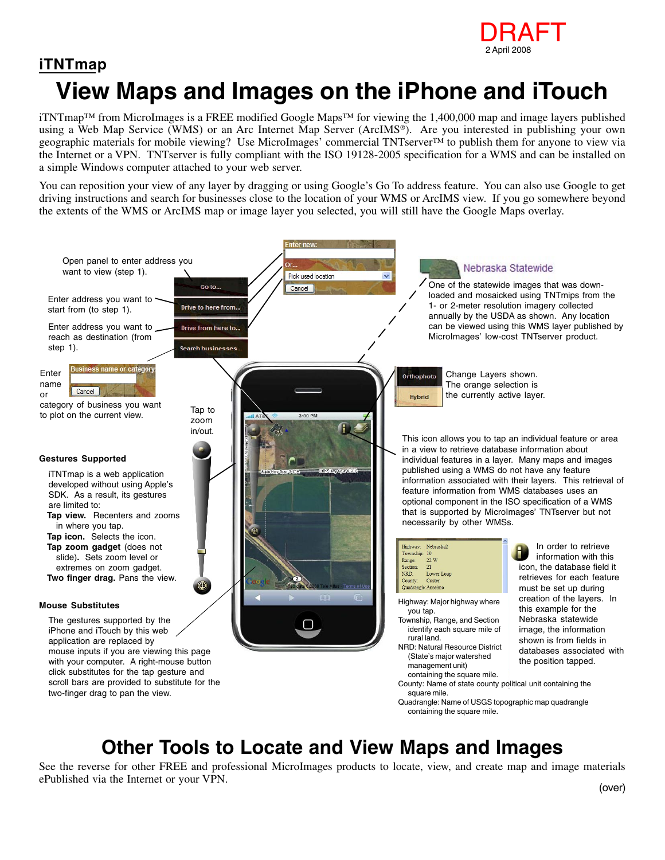

## **View Maps and Images on the iPhone and iTouch iTNTmap**

iTNTmap™ from MicroImages is a FREE modified Google Maps™ for viewing the 1,400,000 map and image layers published using a Web Map Service (WMS) or an Arc Internet Map Server (ArcIMS®). Are you interested in publishing your own geographic materials for mobile viewing? Use MicroImages' commercial TNTserver™ to publish them for anyone to view via the Internet or a VPN. TNTserver is fully compliant with the ISO 19128-2005 specification for a WMS and can be installed on a simple Windows computer attached to your web server.

You can reposition your view of any layer by dragging or using Google's Go To address feature. You can also use Google to get driving instructions and search for businesses close to the location of your WMS or ArcIMS view. If you go somewhere beyond the extents of the WMS or ArcIMS map or image layer you selected, you will still have the Google Maps overlay.



## **Other Tools to Locate and View Maps and Images**

See the reverse for other FREE and professional MicroImages products to locate, view, and create map and image materials ePublished via the Internet or your VPN. (over)